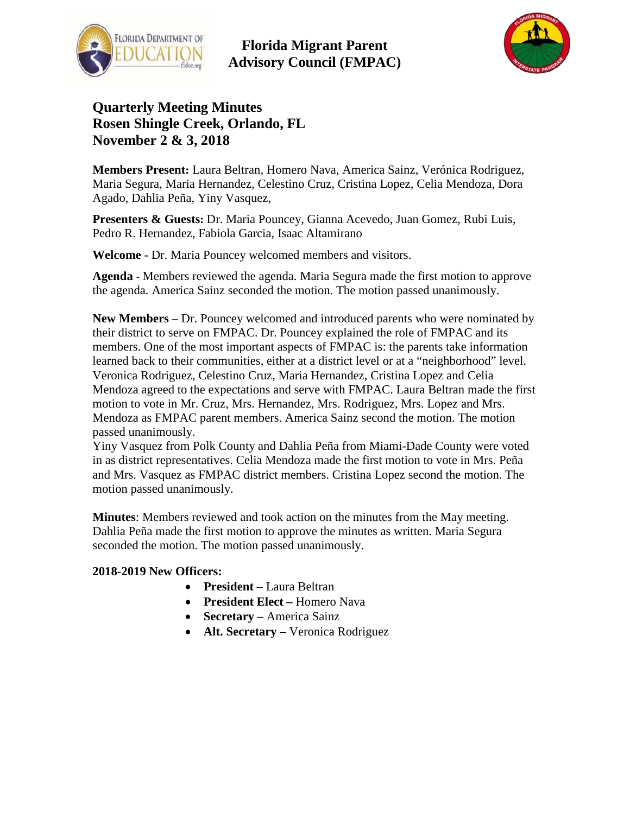



## **Quarterly Meeting Minutes Rosen Shingle Creek, Orlando, FL November 2 & 3, 2018**

**Members Present:** Laura Beltran, Homero Nava, America Sainz, Verónica Rodriguez, Maria Segura, Maria Hernandez, Celestino Cruz, Cristina Lopez, Celia Mendoza, Dora Agado, Dahlia Peña, Yiny Vasquez,

**Presenters & Guests:** Dr. Maria Pouncey, Gianna Acevedo, Juan Gomez, Rubi Luis, Pedro R. Hernandez, Fabiola Garcia, Isaac Altamirano

**Welcome -** Dr. Maria Pouncey welcomed members and visitors.

**Agenda** - Members reviewed the agenda. Maria Segura made the first motion to approve the agenda. America Sainz seconded the motion. The motion passed unanimously.

**New Members** – Dr. Pouncey welcomed and introduced parents who were nominated by their district to serve on FMPAC. Dr. Pouncey explained the role of FMPAC and its members. One of the most important aspects of FMPAC is: the parents take information learned back to their communities, either at a district level or at a "neighborhood" level. Veronica Rodriguez, Celestino Cruz, Maria Hernandez, Cristina Lopez and Celia Mendoza agreed to the expectations and serve with FMPAC. Laura Beltran made the first motion to vote in Mr. Cruz, Mrs. Hernandez, Mrs. Rodriguez, Mrs. Lopez and Mrs. Mendoza as FMPAC parent members. America Sainz second the motion. The motion passed unanimously.

Yiny Vasquez from Polk County and Dahlia Peña from Miami-Dade County were voted in as district representatives. Celia Mendoza made the first motion to vote in Mrs. Peña and Mrs. Vasquez as FMPAC district members. Cristina Lopez second the motion. The motion passed unanimously.

**Minutes**: Members reviewed and took action on the minutes from the May meeting. Dahlia Peña made the first motion to approve the minutes as written. Maria Segura seconded the motion. The motion passed unanimously.

#### **2018-2019 New Officers:**

- **President –** Laura Beltran
- **President Elect –** Homero Nava
- **Secretary –** America Sainz
- **Alt. Secretary –** Veronica Rodriguez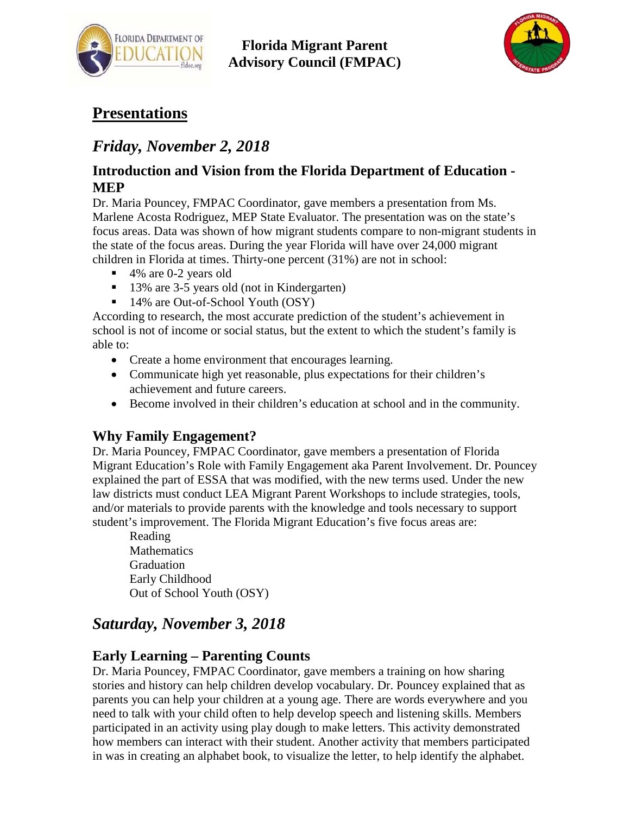



# **Presentations**

# *Friday, November 2, 2018*

### **Introduction and Vision from the Florida Department of Education - MEP**

Dr. Maria Pouncey, FMPAC Coordinator, gave members a presentation from Ms. Marlene Acosta Rodriguez, MEP State Evaluator. The presentation was on the state's focus areas. Data was shown of how migrant students compare to non-migrant students in the state of the focus areas. During the year Florida will have over 24,000 migrant children in Florida at times. Thirty-one percent (31%) are not in school:

- 4% are 0-2 years old
- <sup>13%</sup> are 3-5 years old (not in Kindergarten)
- 14% are Out-of-School Youth (OSY)

According to research, the most accurate prediction of the student's achievement in school is not of income or social status, but the extent to which the student's family is able to:

- Create a home environment that encourages learning.
- Communicate high yet reasonable, plus expectations for their children's achievement and future careers.
- Become involved in their children's education at school and in the community.

## **Why Family Engagement?**

Dr. Maria Pouncey, FMPAC Coordinator, gave members a presentation of Florida Migrant Education's Role with Family Engagement aka Parent Involvement. Dr. Pouncey explained the part of ESSA that was modified, with the new terms used. Under the new law districts must conduct LEA Migrant Parent Workshops to include strategies, tools, and/or materials to provide parents with the knowledge and tools necessary to support student's improvement. The Florida Migrant Education's five focus areas are:

Reading **Mathematics** Graduation Early Childhood Out of School Youth (OSY)

# *Saturday, November 3, 2018*

## **Early Learning – Parenting Counts**

Dr. Maria Pouncey, FMPAC Coordinator, gave members a training on how sharing stories and history can help children develop vocabulary. Dr. Pouncey explained that as parents you can help your children at a young age. There are words everywhere and you need to talk with your child often to help develop speech and listening skills. Members participated in an activity using play dough to make letters. This activity demonstrated how members can interact with their student. Another activity that members participated in was in creating an alphabet book, to visualize the letter, to help identify the alphabet.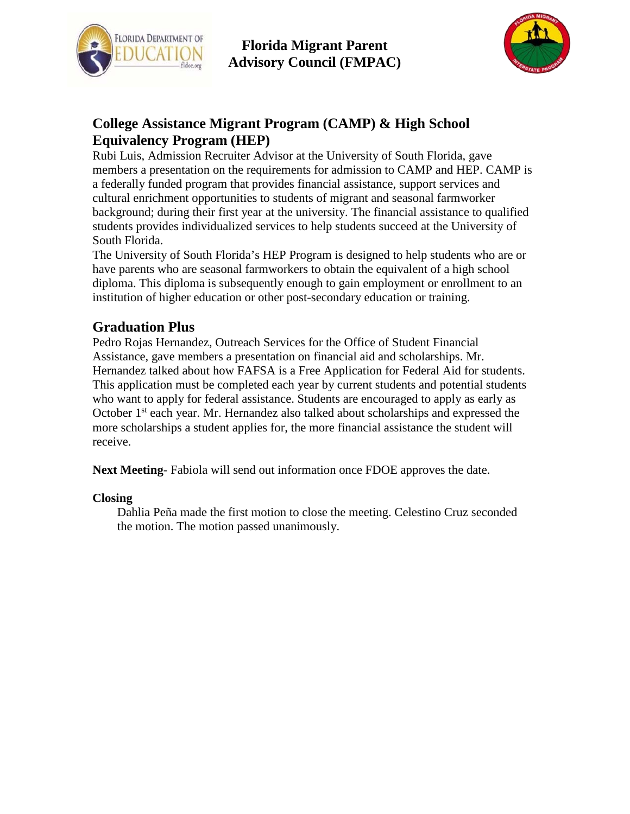



## **College Assistance Migrant Program (CAMP) & High School Equivalency Program (HEP)**

Rubi Luis, Admission Recruiter Advisor at the University of South Florida, gave members a presentation on the requirements for admission to CAMP and HEP. CAMP is a federally funded program that provides financial assistance, support services and cultural enrichment opportunities to students of migrant and seasonal farmworker background; during their first year at the university. The financial assistance to qualified students provides individualized services to help students succeed at the University of South Florida.

The University of South Florida's HEP Program is designed to help students who are or have parents who are seasonal farmworkers to obtain the equivalent of a high school diploma. This diploma is subsequently enough to gain employment or enrollment to an institution of higher education or other post-secondary education or training.

### **Graduation Plus**

Pedro Rojas Hernandez, Outreach Services for the Office of Student Financial Assistance, gave members a presentation on financial aid and scholarships. Mr. Hernandez talked about how FAFSA is a Free Application for Federal Aid for students. This application must be completed each year by current students and potential students who want to apply for federal assistance. Students are encouraged to apply as early as October 1<sup>st</sup> each year. Mr. Hernandez also talked about scholarships and expressed the more scholarships a student applies for, the more financial assistance the student will receive.

**Next Meeting**- Fabiola will send out information once FDOE approves the date.

#### **Closing**

Dahlia Peña made the first motion to close the meeting. Celestino Cruz seconded the motion. The motion passed unanimously.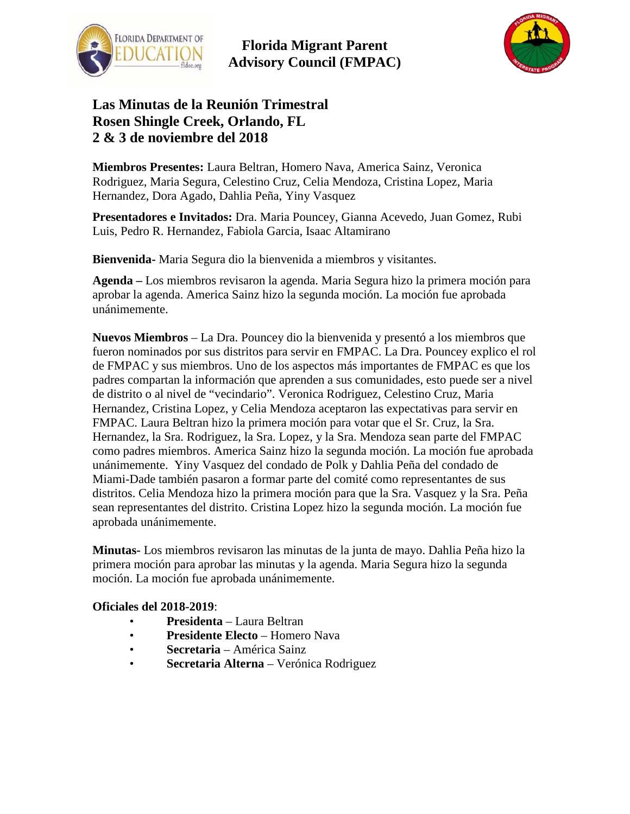



## **Las Minutas de la Reunión Trimestral Rosen Shingle Creek, Orlando, FL 2 & 3 de noviembre del 2018**

**Miembros Presentes:** Laura Beltran, Homero Nava, America Sainz, Veronica Rodriguez, Maria Segura, Celestino Cruz, Celia Mendoza, Cristina Lopez, Maria Hernandez, Dora Agado, Dahlia Peña, Yiny Vasquez

**Presentadores e Invitados:** Dra. Maria Pouncey, Gianna Acevedo, Juan Gomez, Rubi Luis, Pedro R. Hernandez, Fabiola Garcia, Isaac Altamirano

**Bienvenida-** Maria Segura dio la bienvenida a miembros y visitantes.

**Agenda –** Los miembros revisaron la agenda. Maria Segura hizo la primera moción para aprobar la agenda. America Sainz hizo la segunda moción. La moción fue aprobada unánimemente.

**Nuevos Miembros** – La Dra. Pouncey dio la bienvenida y presentó a los miembros que fueron nominados por sus distritos para servir en FMPAC. La Dra. Pouncey explico el rol de FMPAC y sus miembros. Uno de los aspectos más importantes de FMPAC es que los padres compartan la información que aprenden a sus comunidades, esto puede ser a nivel de distrito o al nivel de "vecindario". Veronica Rodriguez, Celestino Cruz, Maria Hernandez, Cristina Lopez, y Celia Mendoza aceptaron las expectativas para servir en FMPAC. Laura Beltran hizo la primera moción para votar que el Sr. Cruz, la Sra. Hernandez, la Sra. Rodriguez, la Sra. Lopez, y la Sra. Mendoza sean parte del FMPAC como padres miembros. America Sainz hizo la segunda moción. La moción fue aprobada unánimemente. Yiny Vasquez del condado de Polk y Dahlia Peña del condado de Miami-Dade también pasaron a formar parte del comité como representantes de sus distritos. Celia Mendoza hizo la primera moción para que la Sra. Vasquez y la Sra. Peña sean representantes del distrito. Cristina Lopez hizo la segunda moción. La moción fue aprobada unánimemente.

**Minutas-** Los miembros revisaron las minutas de la junta de mayo. Dahlia Peña hizo la primera moción para aprobar las minutas y la agenda. Maria Segura hizo la segunda moción. La moción fue aprobada unánimemente.

#### **Oficiales del 2018-2019**:

- **Presidenta** Laura Beltran
- **Presidente Electo** Homero Nava
- **Secretaria** América Sainz
- **Secretaria Alterna** Verónica Rodriguez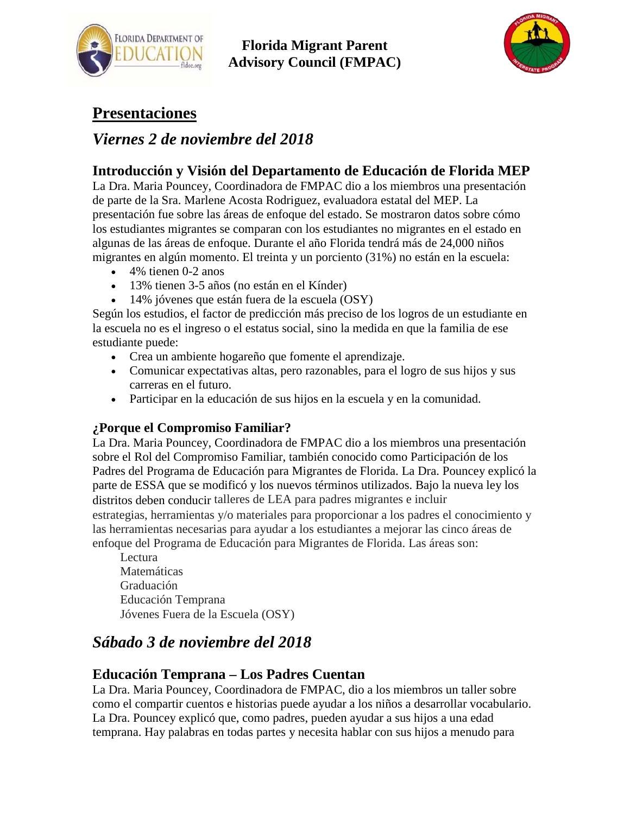



# **Presentaciones**

## *Viernes 2 de noviembre del 2018*

## **Introducción y Visión del Departamento de Educación de Florida MEP**

La Dra. Maria Pouncey, Coordinadora de FMPAC dio a los miembros una presentación de parte de la Sra. Marlene Acosta Rodriguez, evaluadora estatal del MEP. La presentación fue sobre las áreas de enfoque del estado. Se mostraron datos sobre cómo los estudiantes migrantes se comparan con los estudiantes no migrantes en el estado en algunas de las áreas de enfoque. Durante el año Florida tendrá más de 24,000 niños migrantes en algún momento. El treinta y un porciento (31%) no están en la escuela:

- 4% tienen 0-2 anos
- 13% tienen 3-5 años (no están en el Kínder)
- 14% jóvenes que están fuera de la escuela (OSY)

Según los estudios, el factor de predicción más preciso de los logros de un estudiante en la escuela no es el ingreso o el estatus social, sino la medida en que la familia de ese estudiante puede:

- Crea un ambiente hogareño que fomente el aprendizaje.
- Comunicar expectativas altas, pero razonables, para el logro de sus hijos y sus carreras en el futuro.
- Participar en la educación de sus hijos en la escuela y en la comunidad.

### **¿Porque el Compromiso Familiar?**

La Dra. Maria Pouncey, Coordinadora de FMPAC dio a los miembros una presentación sobre el Rol del Compromiso Familiar, también conocido como Participación de los Padres del Programa de Educación para Migrantes de Florida. La Dra. Pouncey explicó la parte de ESSA que se modificó y los nuevos términos utilizados. Bajo la nueva ley los distritos deben conducir talleres de LEA para padres migrantes e incluir estrategias, herramientas y/o materiales para proporcionar a los padres el conocimiento y las herramientas necesarias para ayudar a los estudiantes a mejorar las cinco áreas de enfoque del Programa de Educación para Migrantes de Florida. Las áreas son:

Lectura Matemáticas Graduación Educación Temprana Jóvenes Fuera de la Escuela (OSY)

# *Sábado 3 de noviembre del 2018*

### **Educación Temprana – Los Padres Cuentan**

La Dra. Maria Pouncey, Coordinadora de FMPAC, dio a los miembros un taller sobre como el compartir cuentos e historias puede ayudar a los niños a desarrollar vocabulario. La Dra. Pouncey explicó que, como padres, pueden ayudar a sus hijos a una edad temprana. Hay palabras en todas partes y necesita hablar con sus hijos a menudo para